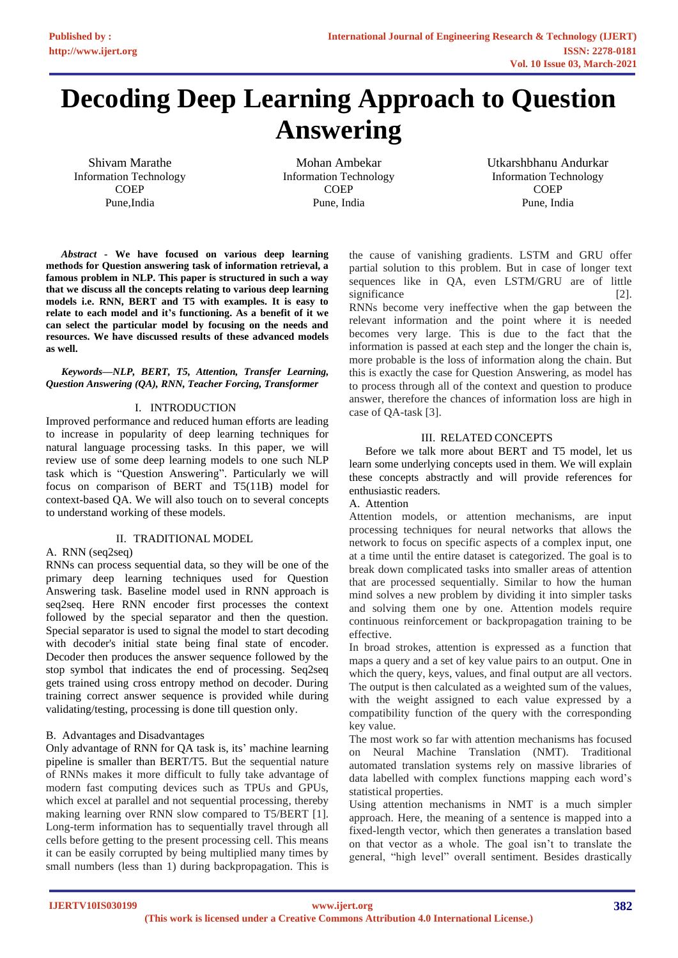# **Decoding Deep Learning Approach to Question Answering**

Shivam Marathe Information Technology **COEP** Pune,India

Mohan Ambekar Information Technology **COEP** Pune, India

Utkarshbhanu Andurkar Information Technology **COEP** Pune, India

*Abstract* **- We have focused on various deep learning methods for Question answering task of information retrieval, a famous problem in NLP. This paper is structured in such a way that we discuss all the concepts relating to various deep learning models i.e. RNN, BERT and T5 with examples. It is easy to relate to each model and it's functioning. As a benefit of it we can select the particular model by focusing on the needs and resources. We have discussed results of these advanced models as well.**

# *Keywords—NLP, BERT, T5, Attention, Transfer Learning, Question Answering (QA), RNN, Teacher Forcing, Transformer*

# I. INTRODUCTION

Improved performance and reduced human efforts are leading to increase in popularity of deep learning techniques for natural language processing tasks. In this paper, we will review use of some deep learning models to one such NLP task which is "Question Answering". Particularly we will focus on comparison of BERT and T5(11B) model for context-based QA. We will also touch on to several concepts to understand working of these models.

## II. TRADITIONAL MODEL

## A. RNN (seq2seq)

RNNs can process sequential data, so they will be one of the primary deep learning techniques used for Question Answering task. Baseline model used in RNN approach is seq2seq. Here RNN encoder first processes the context followed by the special separator and then the question. Special separator is used to signal the model to start decoding with decoder's initial state being final state of encoder. Decoder then produces the answer sequence followed by the stop symbol that indicates the end of processing. Seq2seq gets trained using cross entropy method on decoder. During training correct answer sequence is provided while during validating/testing, processing is done till question only.

# B. Advantages and Disadvantages

Only advantage of RNN for QA task is, its' machine learning pipeline is smaller than BERT/T5. But the sequential nature of RNNs makes it more difficult to fully take advantage of modern fast computing devices such as TPUs and GPUs, which excel at parallel and not sequential processing, thereby making learning over RNN slow compared to T5/BERT [1]. Long-term information has to sequentially travel through all cells before getting to the present processing cell. This means it can be easily corrupted by being multiplied many times by small numbers (less than 1) during backpropagation. This is

the cause of vanishing gradients. LSTM and GRU offer partial solution to this problem. But in case of longer text sequences like in QA, even LSTM/GRU are of little significance [2].

RNNs become very ineffective when the gap between the relevant information and the point where it is needed becomes very large. This is due to the fact that the information is passed at each step and the longer the chain is, more probable is the loss of information along the chain. But this is exactly the case for Question Answering, as model has to process through all of the context and question to produce answer, therefore the chances of information loss are high in case of QA-task [3].

# III. RELATED CONCEPTS

Before we talk more about BERT and T5 model, let us learn some underlying concepts used in them. We will explain these concepts abstractly and will provide references for enthusiastic readers.

# A. Attention

Attention models, or attention mechanisms, are input processing techniques for neural networks that allows the network to focus on specific aspects of a complex input, one at a time until the entire dataset is categorized. The goal is to break down complicated tasks into smaller areas of attention that are processed sequentially. Similar to how the human mind solves a new problem by dividing it into simpler tasks and solving them one by one. Attention models require continuous reinforcement or backpropagation training to be effective.

In broad strokes, attention is expressed as a function that maps a query and a set of key value pairs to an output. One in which the query, keys, values, and final output are all vectors. The output is then calculated as a weighted sum of the values, with the weight assigned to each value expressed by a compatibility function of the query with the corresponding key value.

The most work so far with attention mechanisms has focused on Neural Machine Translation (NMT). Traditional automated translation systems rely on massive libraries of data labelled with complex functions mapping each word's statistical properties.

Using attention mechanisms in NMT is a much simpler approach. Here, the meaning of a sentence is mapped into a fixed-length vector, which then generates a translation based on that vector as a whole. The goal isn't to translate the general, "high level" overall sentiment. Besides drastically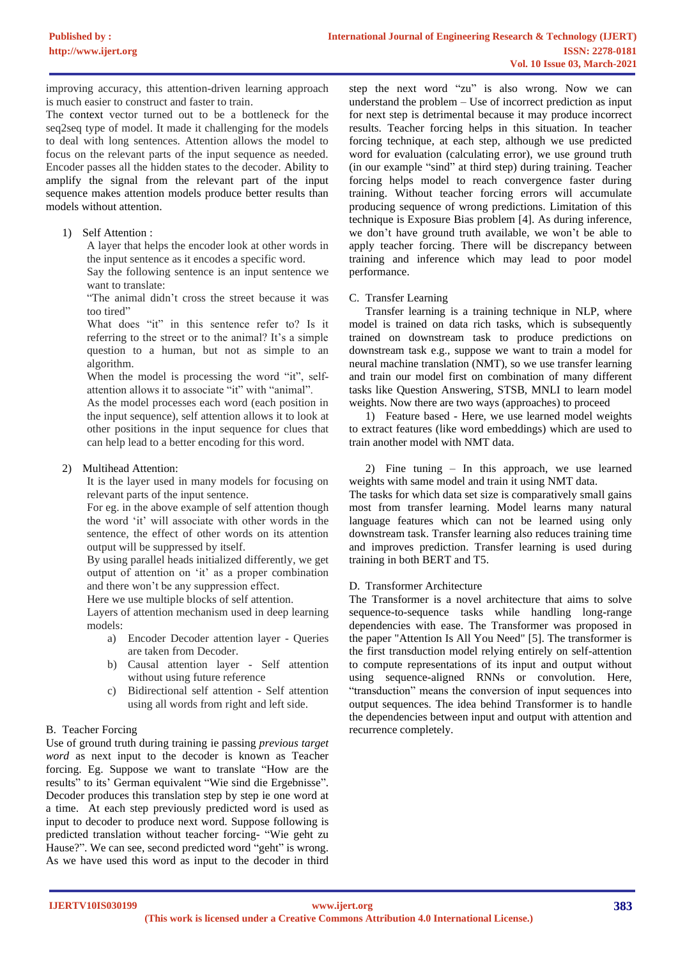improving accuracy, this attention-driven learning approach is much easier to construct and faster to train.

The context vector turned out to be a bottleneck for the seq2seq type of model. It made it challenging for the models to deal with long sentences. Attention allows the model to focus on the relevant parts of the input sequence as needed. Encoder passes all the hidden states to the decoder. Ability to amplify the signal from the relevant part of the input sequence makes attention models produce better results than models without attention.

1) Self Attention :

A layer that helps the encoder look at other words in the input sentence as it encodes a specific word.

Say the following sentence is an input sentence we want to translate:

"The animal didn't cross the street because it was too tired"

What does "it" in this sentence refer to? Is it referring to the street or to the animal? It's a simple question to a human, but not as simple to an algorithm.

When the model is processing the word "it", selfattention allows it to associate "it" with "animal".

As the model processes each word (each position in the input sequence), self attention allows it to look at other positions in the input sequence for clues that can help lead to a better encoding for this word.

# 2) Multihead Attention:

It is the layer used in many models for focusing on relevant parts of the input sentence.

For eg. in the above example of self attention though the word 'it' will associate with other words in the sentence, the effect of other words on its attention output will be suppressed by itself.

By using parallel heads initialized differently, we get output of attention on 'it' as a proper combination and there won't be any suppression effect.

Here we use multiple blocks of self attention.

Layers of attention mechanism used in deep learning models:

- a) Encoder Decoder attention layer Queries are taken from Decoder.
- b) Causal attention layer Self attention without using future reference
- c) Bidirectional self attention Self attention using all words from right and left side.

# B. Teacher Forcing

Use of ground truth during training ie passing *previous target word* as next input to the decoder is known as Teacher forcing. Eg. Suppose we want to translate "How are the results" to its' German equivalent "Wie sind die Ergebnisse". Decoder produces this translation step by step ie one word at a time. At each step previously predicted word is used as input to decoder to produce next word. Suppose following is predicted translation without teacher forcing- "Wie geht zu Hause?". We can see, second predicted word "geht" is wrong. As we have used this word as input to the decoder in third

step the next word "zu" is also wrong. Now we can understand the problem – Use of incorrect prediction as input for next step is detrimental because it may produce incorrect results. Teacher forcing helps in this situation. In teacher forcing technique, at each step, although we use predicted word for evaluation (calculating error), we use ground truth (in our example "sind" at third step) during training. Teacher forcing helps model to reach convergence faster during training. Without teacher forcing errors will accumulate producing sequence of wrong predictions. Limitation of this technique is Exposure Bias problem [4]. As during inference, we don't have ground truth available, we won't be able to apply teacher forcing. There will be discrepancy between training and inference which may lead to poor model performance.

# C. Transfer Learning

Transfer learning is a training technique in NLP, where model is trained on data rich tasks, which is subsequently trained on downstream task to produce predictions on downstream task e.g., suppose we want to train a model for neural machine translation (NMT), so we use transfer learning and train our model first on combination of many different tasks like Question Answering, STSB, MNLI to learn model weights. Now there are two ways (approaches) to proceed

1) Feature based - Here, we use learned model weights to extract features (like word embeddings) which are used to train another model with NMT data.

2) Fine tuning – In this approach, we use learned weights with same model and train it using NMT data.

The tasks for which data set size is comparatively small gains most from transfer learning. Model learns many natural language features which can not be learned using only downstream task. Transfer learning also reduces training time and improves prediction. Transfer learning is used during training in both BERT and T5.

# D. Transformer Architecture

The Transformer is a novel architecture that aims to solve sequence-to-sequence tasks while handling long-range dependencies with ease. The Transformer was proposed in the paper "Attention Is All You Need" [5]. The transformer is the first transduction model relying entirely on self-attention to compute representations of its input and output without using sequence-aligned RNNs or convolution. Here, "transduction" means the conversion of input sequences into output sequences. The idea behind Transformer is to handle the dependencies between input and output with attention and recurrence completely.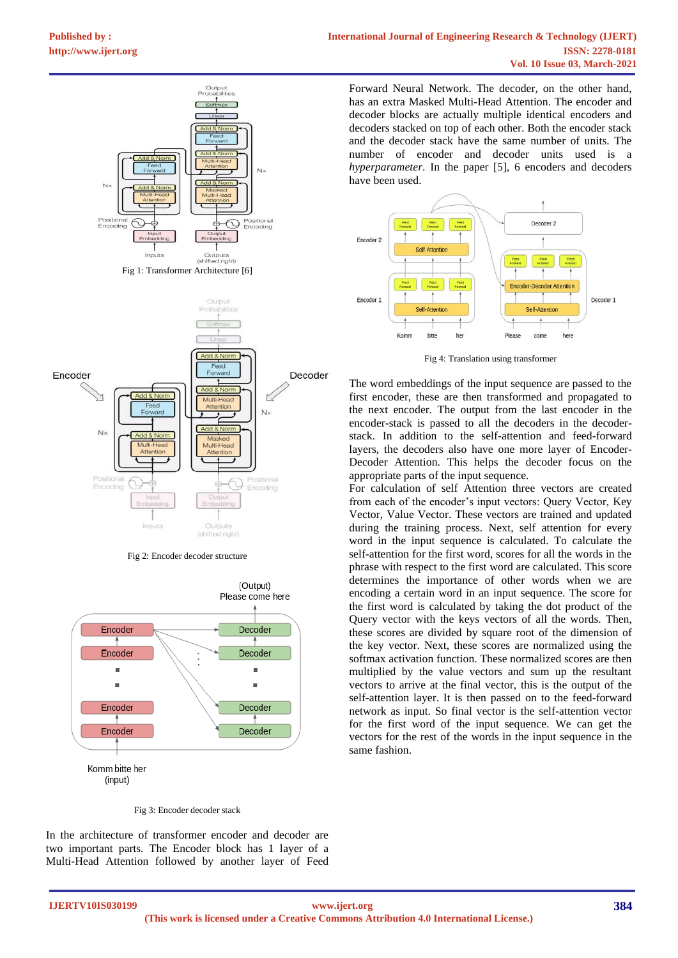

Fig 2: Encoder decoder structure



#### Fig 3: Encoder decoder stack

In the architecture of transformer encoder and decoder are two important parts. The Encoder block has 1 layer of a Multi-Head Attention followed by another layer of Feed

Forward Neural Network. The decoder, on the other hand, has an extra Masked Multi-Head Attention. The encoder and decoder blocks are actually multiple identical encoders and decoders stacked on top of each other. Both the encoder stack and the decoder stack have the same number of units. The number of encoder and decoder units used is a *hyperparameter*. In the paper [5], 6 encoders and decoders have been used.



Fig 4: Translation using transformer

The word embeddings of the input sequence are passed to the first encoder, these are then transformed and propagated to the next encoder. The output from the last encoder in the encoder-stack is passed to all the decoders in the decoderstack. In addition to the self-attention and feed-forward layers, the decoders also have one more layer of Encoder-Decoder Attention. This helps the decoder focus on the appropriate parts of the input sequence.

For calculation of self Attention three vectors are created from each of the encoder's input vectors: Query Vector, Key Vector, Value Vector. These vectors are trained and updated during the training process. Next, self attention for every word in the input sequence is calculated. To calculate the self-attention for the first word, scores for all the words in the phrase with respect to the first word are calculated. This score determines the importance of other words when we are encoding a certain word in an input sequence. The score for the first word is calculated by taking the dot product of the Query vector with the keys vectors of all the words. Then, these scores are divided by square root of the dimension of the key vector. Next, these scores are normalized using the softmax activation function. These normalized scores are then multiplied by the value vectors and sum up the resultant vectors to arrive at the final vector, this is the output of the self-attention layer. It is then passed on to the feed-forward network as input. So final vector is the self-attention vector for the first word of the input sequence. We can get the vectors for the rest of the words in the input sequence in the same fashion.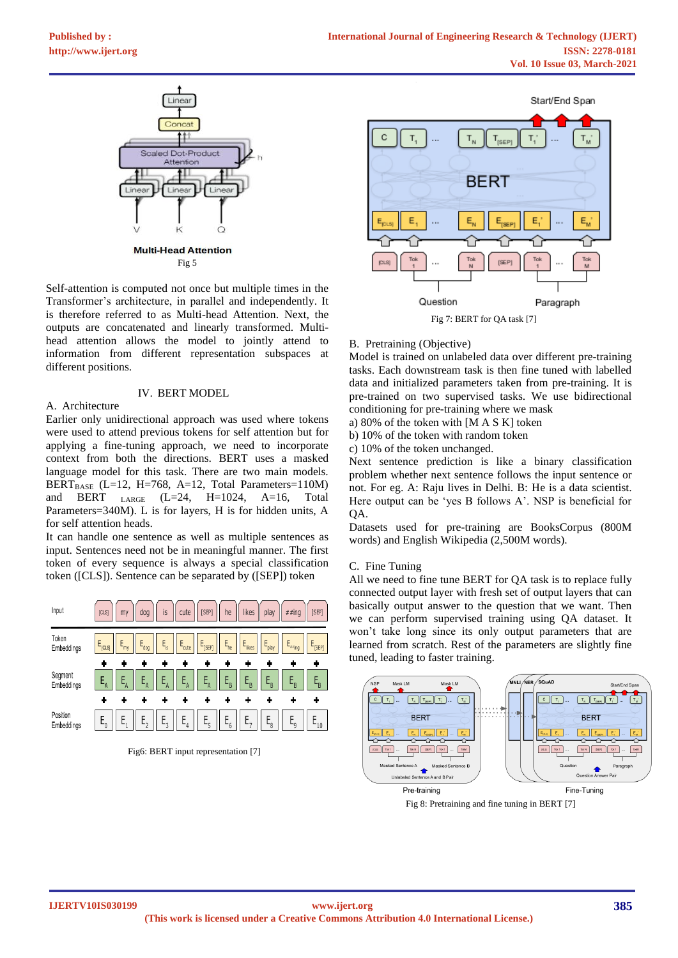

Self-attention is computed not once but multiple times in the Transformer's architecture, in parallel and independently. It is therefore referred to as Multi-head Attention. Next, the outputs are concatenated and linearly transformed. Multihead attention allows the model to jointly attend to information from different representation subspaces at different positions.

# IV. BERT MODEL

# A. Architecture

Earlier only unidirectional approach was used where tokens were used to attend previous tokens for self attention but for applying a fine-tuning approach, we need to incorporate context from both the directions. BERT uses a masked language model for this task. There are two main models. BERT<sub>BASE</sub> (L=12, H=768, A=12, Total Parameters=110M) and BERT  $_{\text{LARGE}}$  (L=24, H=1024, A=16, Total Parameters=340M). L is for layers, H is for hidden units, A for self attention heads.

It can handle one sentence as well as multiple sentences as input. Sentences need not be in meaningful manner. The first token of every sequence is always a special classification token ([CLS]). Sentence can be separated by ([SEP]) token



Fig6: BERT input representation [7]



B. Pretraining (Objective)

Model is trained on unlabeled data over different pre-training tasks. Each downstream task is then fine tuned with labelled data and initialized parameters taken from pre-training. It is pre-trained on two supervised tasks. We use bidirectional conditioning for pre-training where we mask

a) 80% of the token with [M A S K] token

b) 10% of the token with random token

c) 10% of the token unchanged.

Next sentence prediction is like a binary classification problem whether next sentence follows the input sentence or not. For eg. A: Raju lives in Delhi. B: He is a data scientist. Here output can be 'yes B follows A'. NSP is beneficial for QA.

Datasets used for pre-training are BooksCorpus (800M words) and English Wikipedia (2,500M words).

## C. Fine Tuning

All we need to fine tune BERT for QA task is to replace fully connected output layer with fresh set of output layers that can basically output answer to the question that we want. Then we can perform supervised training using QA dataset. It won't take long since its only output parameters that are learned from scratch. Rest of the parameters are slightly fine tuned, leading to faster training.



Fig 8: Pretraining and fine tuning in BERT [7]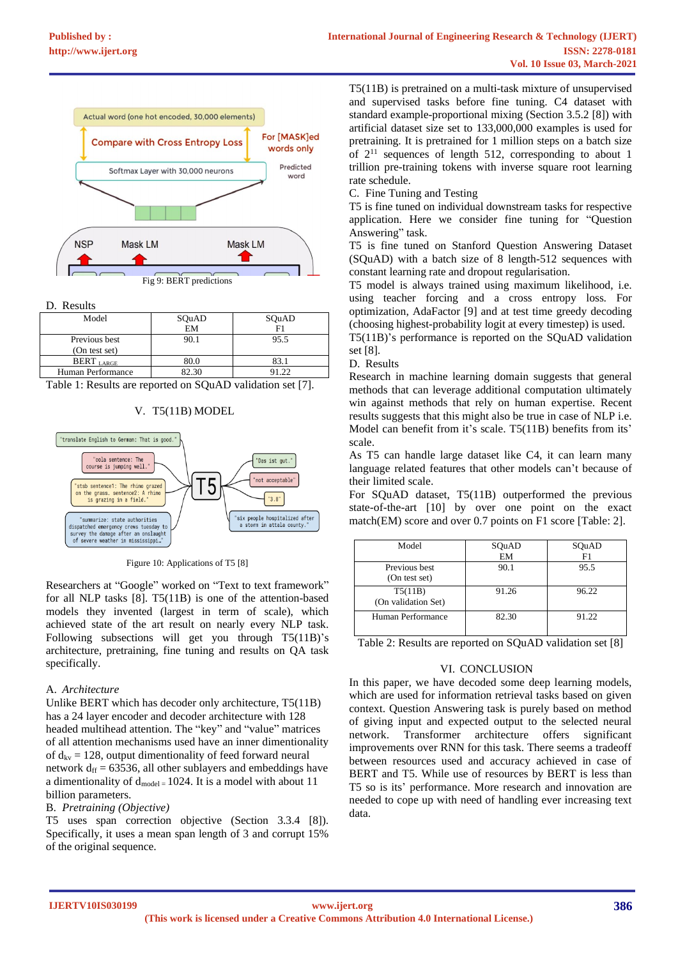

D. Results

| SQuAD     | SQuAD |  |  |
|-----------|-------|--|--|
| <b>EM</b> |       |  |  |
| 90.1      | 95.5  |  |  |
|           |       |  |  |
| 80.0      |       |  |  |
| 82.30     |       |  |  |
|           |       |  |  |

Table 1: Results are reported on SQuAD validation set [7].

# V. T5(11B) MODEL



Figure 10: Applications of T5 [8]

Researchers at "Google" worked on "Text to text framework" for all NLP tasks [8]. T5(11B) is one of the attention-based models they invented (largest in term of scale), which achieved state of the art result on nearly every NLP task. Following subsections will get you through T5(11B)'s architecture, pretraining, fine tuning and results on QA task specifically.

## A. *Architecture*

Unlike BERT which has decoder only architecture, T5(11B) has a 24 layer encoder and decoder architecture with 128 headed multihead attention. The "key" and "value" matrices of all attention mechanisms used have an inner dimentionality of  $d_{kv} = 128$ , output dimentionality of feed forward neural network  $d_{ff} = 63536$ , all other sublayers and embeddings have a dimentionality of  $d_{model} = 1024$ . It is a model with about 11 billion parameters.

## B. *Pretraining (Objective)*

T5 uses span correction objective (Section 3.3.4 [8]). Specifically, it uses a mean span length of 3 and corrupt 15% of the original sequence.

T5(11B) is pretrained on a multi-task mixture of unsupervised and supervised tasks before fine tuning. C4 dataset with standard example-proportional mixing (Section 3.5.2 [8]) with artificial dataset size set to 133,000,000 examples is used for pretraining. It is pretrained for 1 million steps on a batch size of 2<sup>11</sup> sequences of length 512, corresponding to about 1 trillion pre-training tokens with inverse square root learning rate schedule.

C. Fine Tuning and Testing

T5 is fine tuned on individual downstream tasks for respective application. Here we consider fine tuning for "Question Answering" task.

T5 is fine tuned on Stanford Question Answering Dataset (SQuAD) with a batch size of 8 length-512 sequences with constant learning rate and dropout regularisation.

T5 model is always trained using maximum likelihood, i.e. using teacher forcing and a cross entropy loss. For optimization, AdaFactor [9] and at test time greedy decoding (choosing highest-probability logit at every timestep) is used.

T5(11B)'s performance is reported on the SQuAD validation set [8].

## D. Results

Research in machine learning domain suggests that general methods that can leverage additional computation ultimately win against methods that rely on human expertise. Recent results suggests that this might also be true in case of NLP i.e. Model can benefit from it's scale. T5(11B) benefits from its' scale.

As T5 can handle large dataset like C4, it can learn many language related features that other models can't because of their limited scale.

For SQuAD dataset, T5(11B) outperformed the previous state-of-the-art [10] by over one point on the exact match(EM) score and over 0.7 points on F1 score [Table: 2].

| Model                          | SQuAD | SQuAD |
|--------------------------------|-------|-------|
|                                | EM    | F1    |
| Previous best<br>(On test set) | 90.1  | 95.5  |
| T5(11B)<br>(On validation Set) | 91.26 | 96.22 |
| Human Performance              | 82.30 | 91.22 |

Table 2: Results are reported on SQuAD validation set [8]

# VI. CONCLUSION

In this paper, we have decoded some deep learning models, which are used for information retrieval tasks based on given context. Question Answering task is purely based on method of giving input and expected output to the selected neural network. Transformer architecture offers significant improvements over RNN for this task. There seems a tradeoff between resources used and accuracy achieved in case of BERT and T5. While use of resources by BERT is less than T5 so is its' performance. More research and innovation are needed to cope up with need of handling ever increasing text data.